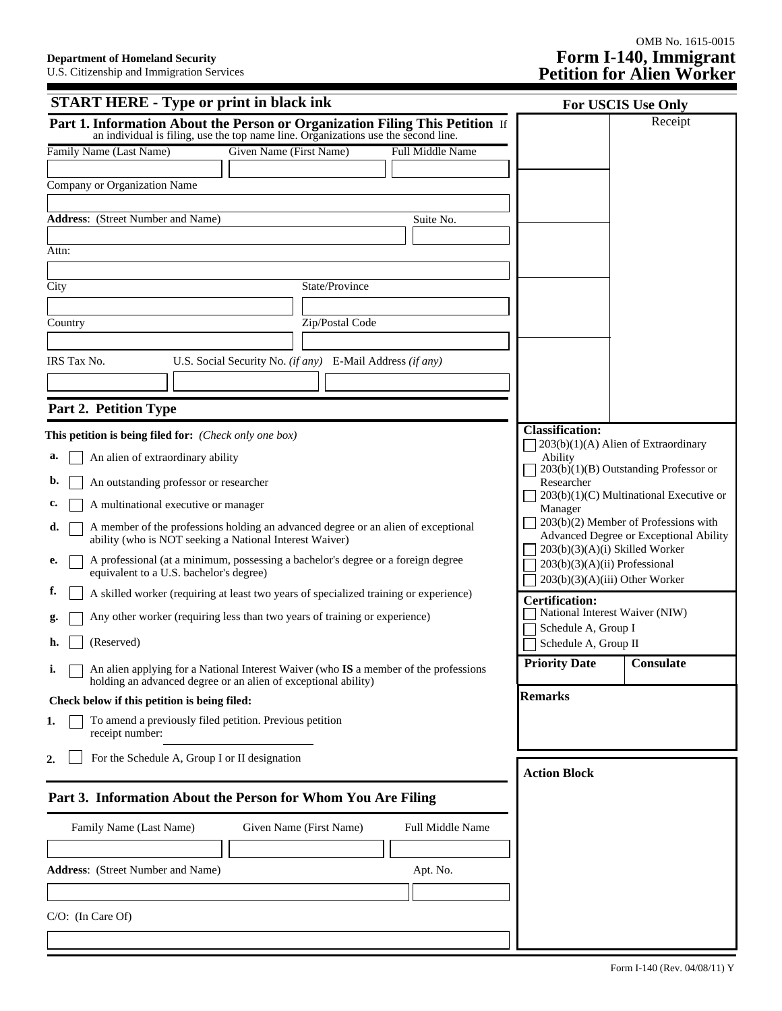| <b>START HERE - Type or print in black ink</b>                                                                                                                     | For USCIS Use Only                                                       |
|--------------------------------------------------------------------------------------------------------------------------------------------------------------------|--------------------------------------------------------------------------|
| Part 1. Information About the Person or Organization Filing This Petition If<br>an individual is filing, use the top name line. Organizations use the second line. | Receipt                                                                  |
| Given Name (First Name)<br>Family Name (Last Name)<br><b>Full Middle Name</b>                                                                                      |                                                                          |
|                                                                                                                                                                    |                                                                          |
| Company or Organization Name                                                                                                                                       |                                                                          |
| <b>Address:</b> (Street Number and Name)<br>Suite No.                                                                                                              |                                                                          |
|                                                                                                                                                                    |                                                                          |
| Attn:                                                                                                                                                              |                                                                          |
| State/Province<br>City                                                                                                                                             |                                                                          |
|                                                                                                                                                                    |                                                                          |
| Zip/Postal Code<br>Country                                                                                                                                         |                                                                          |
|                                                                                                                                                                    |                                                                          |
| U.S. Social Security No. (if any) E-Mail Address (if any)<br>IRS Tax No.                                                                                           |                                                                          |
|                                                                                                                                                                    |                                                                          |
| Part 2. Petition Type                                                                                                                                              |                                                                          |
| This petition is being filed for: (Check only one box)                                                                                                             | <b>Classification:</b>                                                   |
| An alien of extraordinary ability<br>a.                                                                                                                            | 203(b)(1)(A) Alien of Extraordinary<br>Ability                           |
| An outstanding professor or researcher<br>b.                                                                                                                       | $203(b)(1)(B)$ Outstanding Professor or<br>Researcher                    |
| A multinational executive or manager<br>c.                                                                                                                         | 203(b)(1)(C) Multinational Executive or<br>Manager                       |
| A member of the professions holding an advanced degree or an alien of exceptional<br>d.                                                                            | 203(b)(2) Member of Professions with                                     |
| ability (who is NOT seeking a National Interest Waiver)                                                                                                            | Advanced Degree or Exceptional Ability<br>203(b)(3)(A)(i) Skilled Worker |
| A professional (at a minimum, possessing a bachelor's degree or a foreign degree<br>e.<br>equivalent to a U.S. bachelor's degree)                                  | 203(b)(3)(A)(ii) Professional<br>203(b)(3)(A)(iii) Other Worker          |
| Ι.<br>A skilled worker (requiring at least two years of specialized training or experience)                                                                        | <b>Certification:</b>                                                    |
| Any other worker (requiring less than two years of training or experience)                                                                                         | National Interest Waiver (NIW)<br>Schedule A, Group I                    |
| (Reserved)<br>h.                                                                                                                                                   | Schedule A, Group II                                                     |
| An alien applying for a National Interest Waiver (who IS a member of the professions<br>i.<br>holding an advanced degree or an alien of exceptional ability)       | <b>Priority Date</b><br>  Consulate                                      |
| Check below if this petition is being filed:                                                                                                                       | <b>Remarks</b>                                                           |
| To amend a previously filed petition. Previous petition<br>1.<br>receipt number:                                                                                   |                                                                          |
| For the Schedule A, Group I or II designation<br>2.                                                                                                                | <b>Action Block</b>                                                      |
| Part 3. Information About the Person for Whom You Are Filing                                                                                                       |                                                                          |
| Family Name (Last Name)<br>Given Name (First Name)<br><b>Full Middle Name</b>                                                                                      |                                                                          |
|                                                                                                                                                                    |                                                                          |
| <b>Address:</b> (Street Number and Name)<br>Apt. No.                                                                                                               |                                                                          |
|                                                                                                                                                                    |                                                                          |
| $C/O$ : (In Care Of)                                                                                                                                               |                                                                          |
|                                                                                                                                                                    |                                                                          |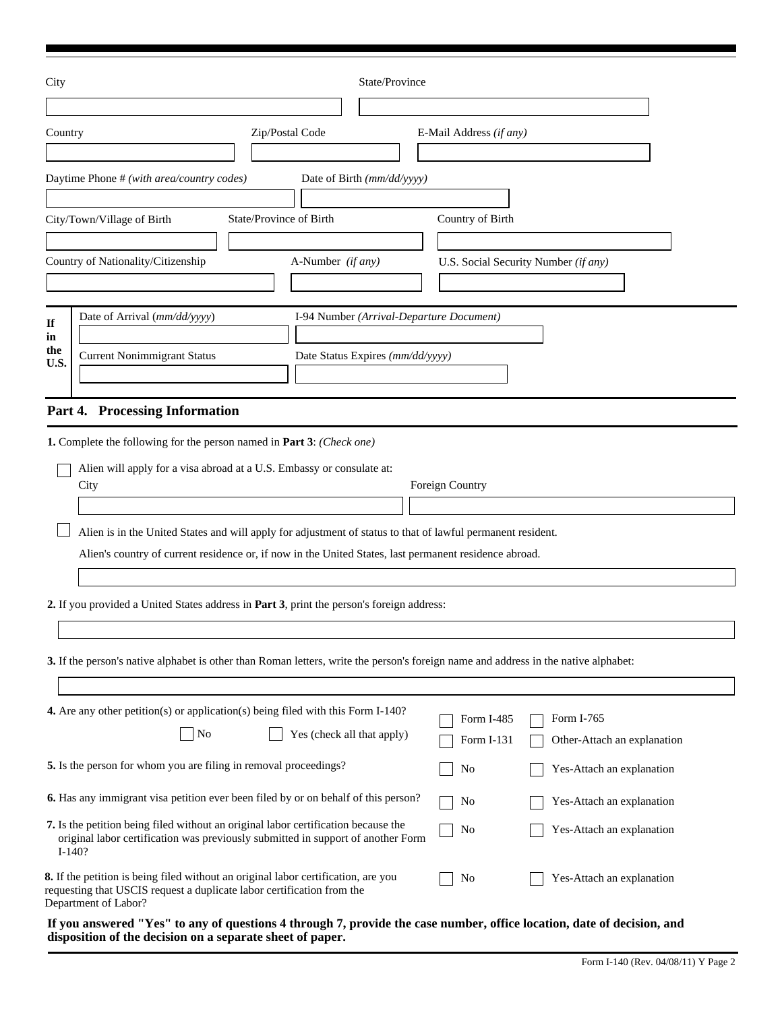| City                    | State/Province                                                                                                                                                                                                                                                                                                                                                                                      |                          |                                           |
|-------------------------|-----------------------------------------------------------------------------------------------------------------------------------------------------------------------------------------------------------------------------------------------------------------------------------------------------------------------------------------------------------------------------------------------------|--------------------------|-------------------------------------------|
| Country                 | Zip/Postal Code                                                                                                                                                                                                                                                                                                                                                                                     | E-Mail Address (if any)  |                                           |
|                         | Daytime Phone # (with area/country codes)<br>Date of Birth (mm/dd/yyyy)                                                                                                                                                                                                                                                                                                                             |                          |                                           |
|                         | State/Province of Birth<br>City/Town/Village of Birth<br>Country of Nationality/Citizenship<br>A-Number (if any)                                                                                                                                                                                                                                                                                    | Country of Birth         | U.S. Social Security Number (if any)      |
| If<br>in<br>the<br>U.S. | Date of Arrival (mm/dd/yyyy)<br>I-94 Number (Arrival-Departure Document)<br><b>Current Nonimmigrant Status</b><br>Date Status Expires (mm/dd/yyyy)<br>Part 4. Processing Information                                                                                                                                                                                                                |                          |                                           |
|                         | Alien will apply for a visa abroad at a U.S. Embassy or consulate at:<br>City<br>Alien is in the United States and will apply for adjustment of status to that of lawful permanent resident.<br>Alien's country of current residence or, if now in the United States, last permanent residence abroad.<br>2. If you provided a United States address in Part 3, print the person's foreign address: | Foreign Country          |                                           |
|                         | 3. If the person's native alphabet is other than Roman letters, write the person's foreign name and address in the native alphabet:                                                                                                                                                                                                                                                                 |                          |                                           |
|                         | 4. Are any other petition(s) or application(s) being filed with this Form I-140?<br>No<br>Yes (check all that apply)                                                                                                                                                                                                                                                                                | Form I-485<br>Form I-131 | Form I-765<br>Other-Attach an explanation |
|                         | 5. Is the person for whom you are filing in removal proceedings?                                                                                                                                                                                                                                                                                                                                    | No                       | Yes-Attach an explanation                 |
|                         | <b>6.</b> Has any immigrant visa petition ever been filed by or on behalf of this person?                                                                                                                                                                                                                                                                                                           | No                       | Yes-Attach an explanation                 |
|                         | 7. Is the petition being filed without an original labor certification because the<br>original labor certification was previously submitted in support of another Form<br>$I-140?$                                                                                                                                                                                                                  | No                       | Yes-Attach an explanation                 |
|                         | 8. If the petition is being filed without an original labor certification, are you<br>requesting that USCIS request a duplicate labor certification from the<br>Department of Labor?                                                                                                                                                                                                                | No                       | Yes-Attach an explanation                 |
|                         |                                                                                                                                                                                                                                                                                                                                                                                                     |                          |                                           |

**If you answered "Yes" to any of questions 4 through 7, provide the case number, office location, date of decision, and disposition of the decision on a separate sheet of paper.**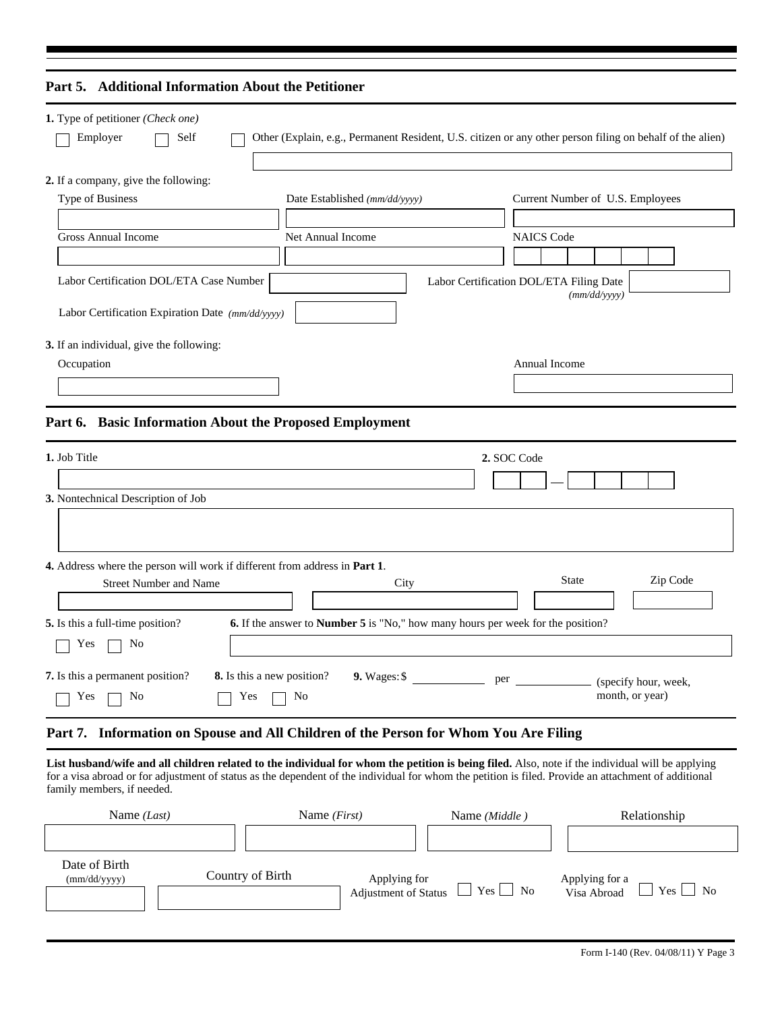| Part 5. Additional Information About the Petitioner                                                               |                                                                                         |                                                                                                           |
|-------------------------------------------------------------------------------------------------------------------|-----------------------------------------------------------------------------------------|-----------------------------------------------------------------------------------------------------------|
| 1. Type of petitioner (Check one)<br>Employer<br>Self                                                             |                                                                                         | Other (Explain, e.g., Permanent Resident, U.S. citizen or any other person filing on behalf of the alien) |
| 2. If a company, give the following:<br>Type of Business<br><b>Gross Annual Income</b>                            | Date Established (mm/dd/yyyy)<br>Net Annual Income                                      | Current Number of U.S. Employees<br><b>NAICS Code</b>                                                     |
| Labor Certification DOL/ETA Case Number<br>Labor Certification Expiration Date (mm/dd/yyyy)                       |                                                                                         | Labor Certification DOL/ETA Filing Date<br>(mm/dd/yyyy)                                                   |
| 3. If an individual, give the following:<br>Occupation<br>Part 6. Basic Information About the Proposed Employment |                                                                                         | Annual Income                                                                                             |
| 1. Job Title<br>3. Nontechnical Description of Job                                                                |                                                                                         | 2. SOC Code                                                                                               |
| 4. Address where the person will work if different from address in Part 1.                                        |                                                                                         |                                                                                                           |
| <b>Street Number and Name</b><br>5. Is this a full-time position?<br>No<br>Yes                                    | City<br>6. If the answer to Number 5 is "No," how many hours per week for the position? | Zip Code<br><b>State</b>                                                                                  |
| 7. Is this a permanent position?<br>Yes<br>No<br>Yes                                                              | 8. Is this a new position?<br>9. Wages: \$<br>No                                        | per<br>(specify hour, week,<br>month, or year)                                                            |

## **Part 7. Information on Spouse and All Children of the Person for Whom You Are Filing**

**List husband/wife and all children related to the individual for whom the petition is being filed.** Also, note if the individual will be applying for a visa abroad or for adjustment of status as the dependent of the individual for whom the petition is filed. Provide an attachment of additional family members, if needed.

| Name $(Last)$                 | Name $(First)$   | Name (Middle)                                                | Relationship                                           |
|-------------------------------|------------------|--------------------------------------------------------------|--------------------------------------------------------|
| Date of Birth<br>(mm/dd/yyyy) | Country of Birth | Applying for<br>Adjustment of Status $\Box$ Yes $\Box$<br>No | Applying for a<br>Visa Abroad<br>Yes<br>N <sub>o</sub> |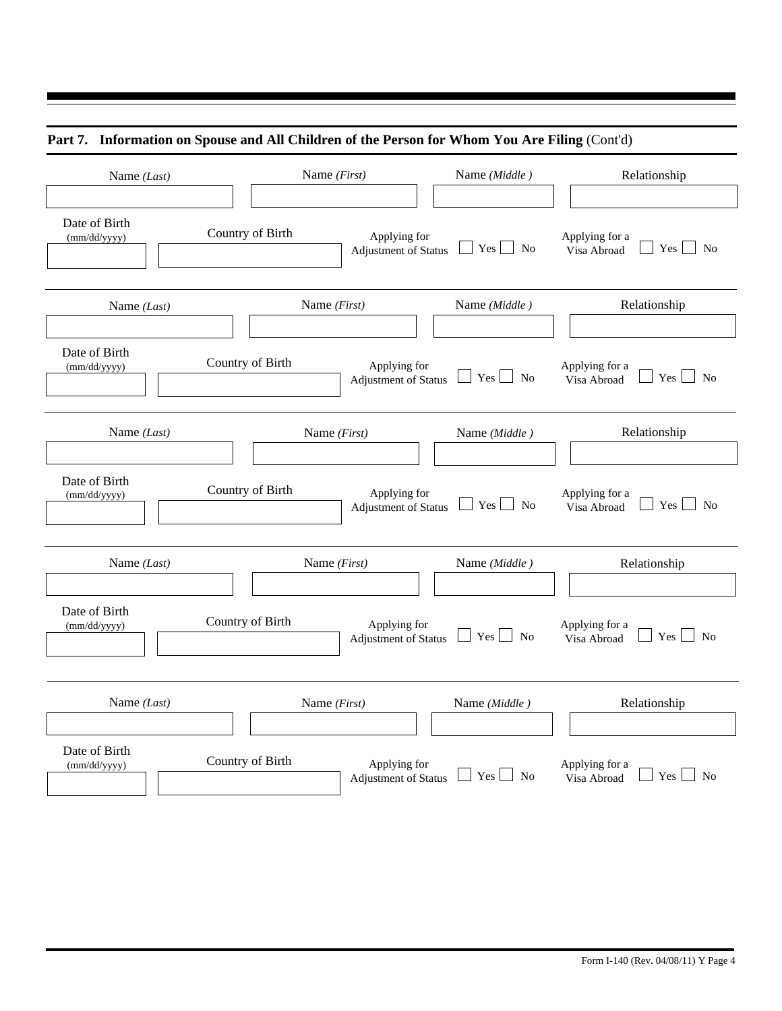|  |  | Part 7. Information on Spouse and All Children of the Person for Whom You Are Filing (Cont'd) |  |
|--|--|-----------------------------------------------------------------------------------------------|--|
|  |  |                                                                                               |  |

| Name (Last)                   |                  | Name (First)                                | Name (Middle)                                  | Relationship                                             |
|-------------------------------|------------------|---------------------------------------------|------------------------------------------------|----------------------------------------------------------|
| Date of Birth<br>(mm/dd/yyyy) | Country of Birth | Applying for<br><b>Adjustment of Status</b> | $Yes \bigsqcup No$                             | Applying for a<br>$Yes \bigsqcup No$<br>Visa Abroad      |
| Name (Last)                   |                  | Name (First)                                | Name (Middle)                                  | Relationship                                             |
| Date of Birth<br>(mm/dd/yyyy) | Country of Birth | Applying for<br>Adjustment of Status        | $Yes \mid \neg No$<br>$\overline{\phantom{0}}$ | Applying for a<br>$Yes \mid \neg No$<br>Visa Abroad      |
| Name (Last)                   |                  | Name (First)                                | Name (Middle)                                  | Relationship                                             |
| Date of Birth<br>(mm/dd/yyyy) | Country of Birth | Applying for<br>Adjustment of Status        | $Yes \Box No$                                  | Applying for a<br>$\overline{N}$<br>Yes  <br>Visa Abroad |
| Name (Last)                   |                  | Name (First)                                | Name (Middle)                                  | Relationship                                             |
| Date of Birth<br>(mm/dd/yyyy) | Country of Birth | Applying for<br>Adjustment of Status        | $Yes \tN$<br>$\blacksquare$                    | Applying for a<br>$Yes \quad No$<br>Visa Abroad          |
| Name (Last)                   |                  | Name $(First)$                              | Name (Middle)                                  | Relationship                                             |
| Date of Birth<br>(mm/dd/yyyy) | Country of Birth | Applying for<br>Adjustment of Status        | Yes  <br>No                                    | Applying for a<br>Yes  <br>N <sub>0</sub><br>Visa Abroad |